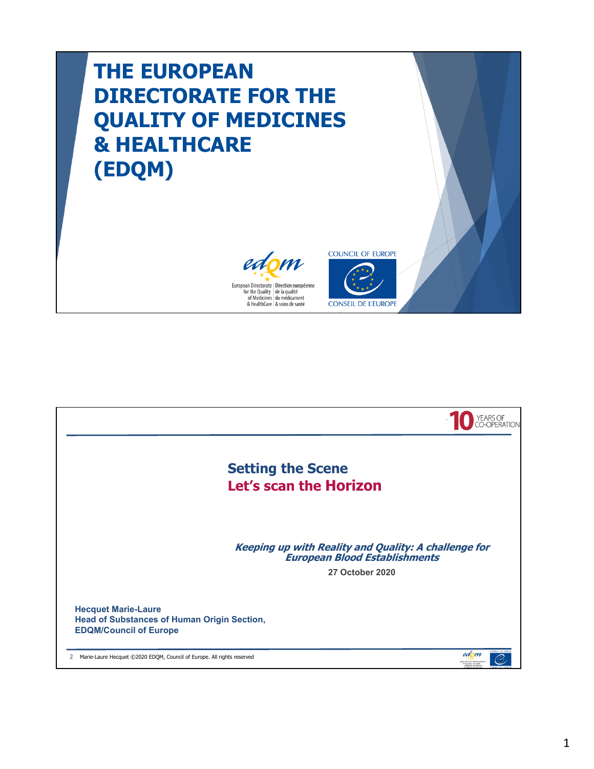## **THE EUROPEAN DIRECTORATE FOR THE QUALITY OF MEDICINES & HEALTHCARE (EDQM)**





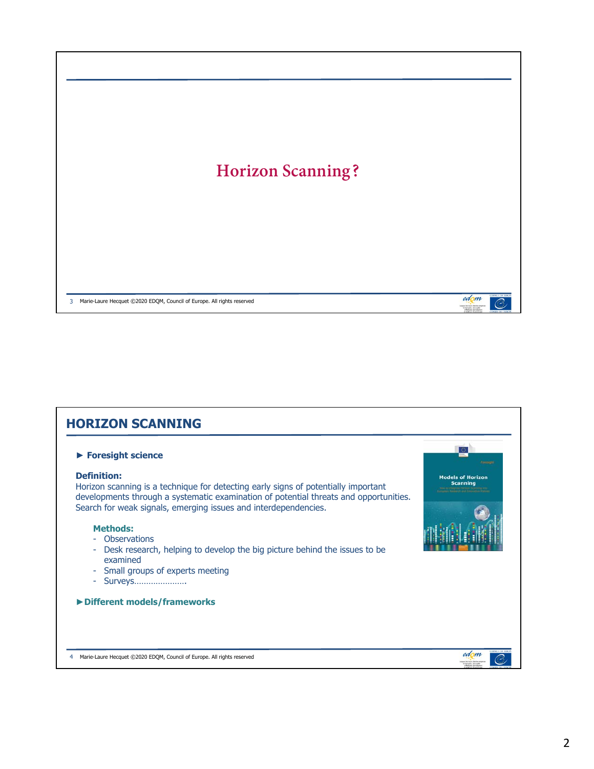

| <b>Models of Horizon</b><br><b>Scanning</b><br>developments through a systematic examination of potential threats and opportunities. |
|--------------------------------------------------------------------------------------------------------------------------------------|
|                                                                                                                                      |
|                                                                                                                                      |
|                                                                                                                                      |
|                                                                                                                                      |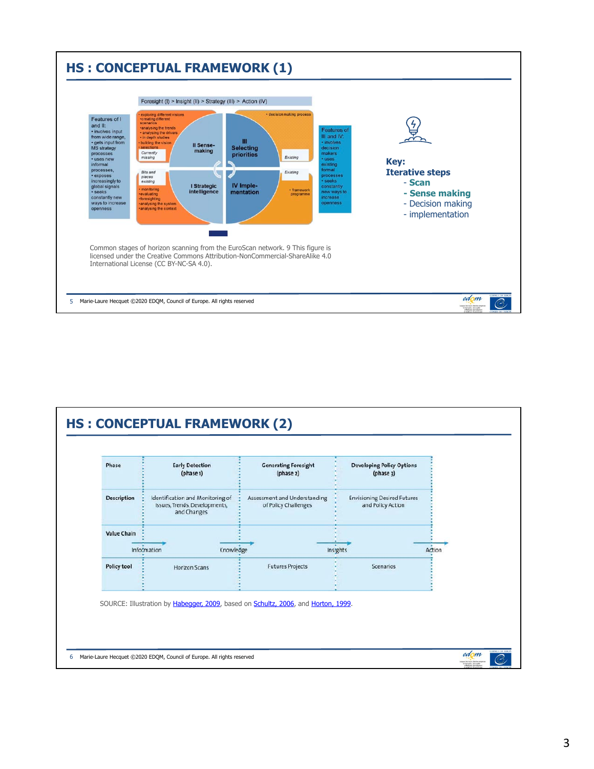

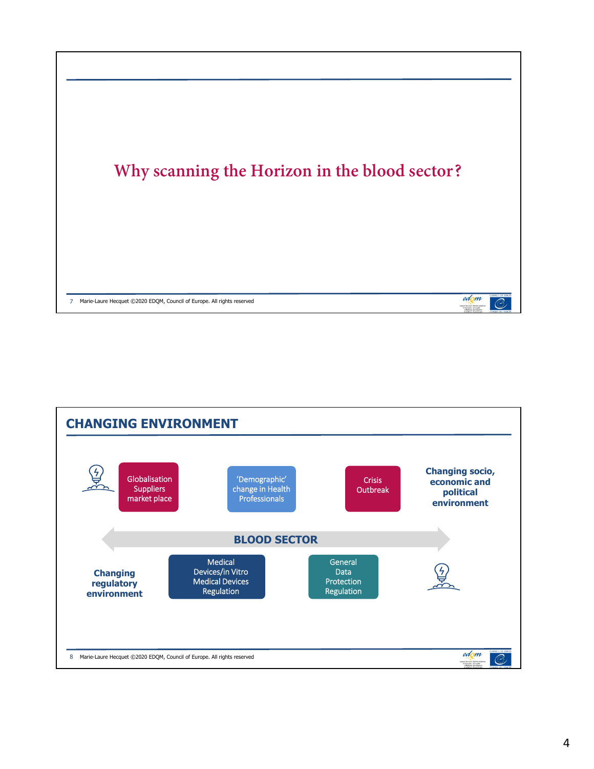

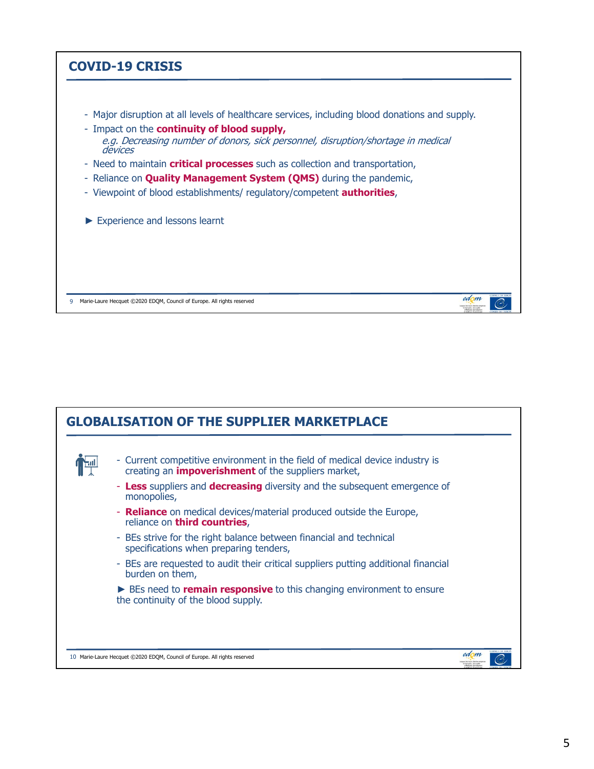## **COVID-19 CRISIS**

- Major disruption at all levels of healthcare services, including blood donations and supply.
- Impact on the **continuity of blood supply,** e.g. Decreasing number of donors, sick personnel, disruption/shortage in medical<br>devices
- Need to maintain **critical processes** such as collection and transportation,
- Reliance on **Quality Management System (QMS)** during the pandemic,
- Viewpoint of blood establishments/ regulatory/competent **authorities**,
- ► Experience and lessons learnt

9 Marie-Laure Hecquet ©2020 EDQM, Council of Europe. All rights reserved



edom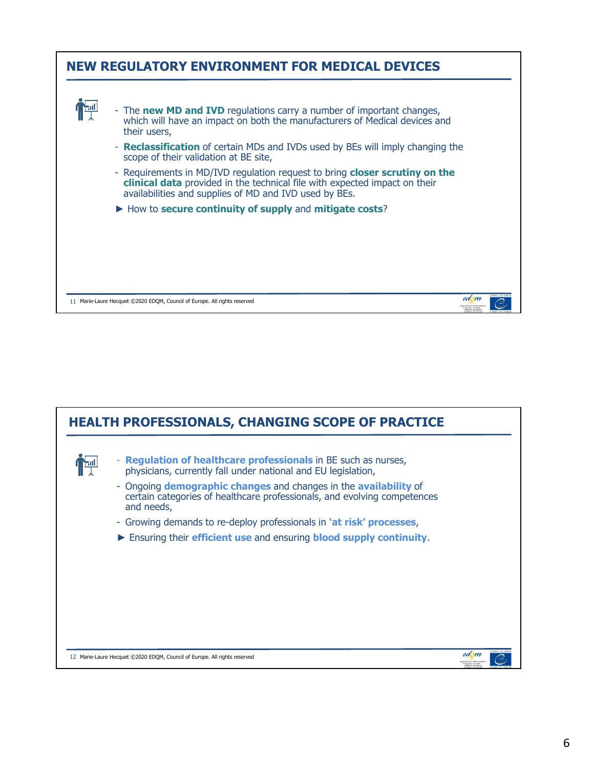

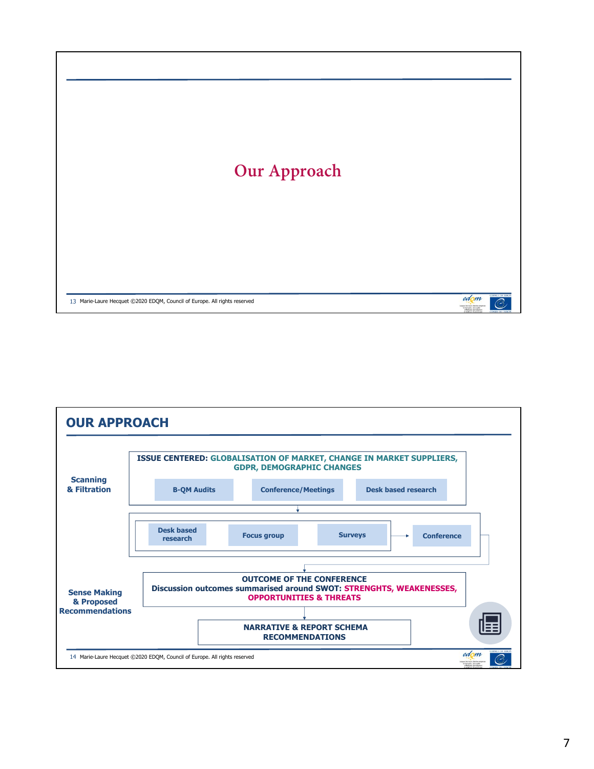